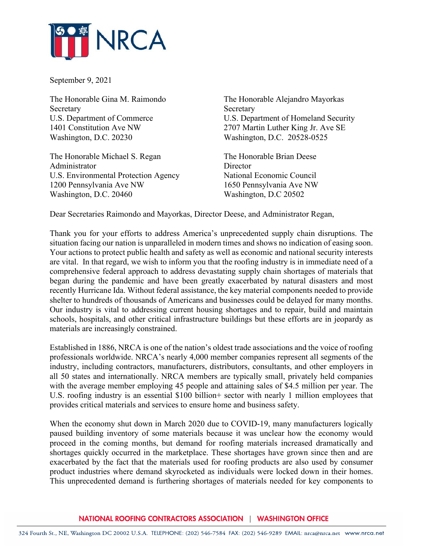

September 9, 2021

Secretary Secretary Secretary Secretary Secretary Secretary Secretary Secretary Secretary Secretary Secretary Secretary Secretary Secretary Secretary Secretary Secretary Secretary Secretary Secretary Secretary Secretary Se Washington, D.C. 20230 Washington, D.C. 20528-0525

The Honorable Michael S. Regan The Honorable Brian Deese Administrator Director U.S. Environmental Protection Agency National Economic Council 1200 Pennsylvania Ave NW 1650 Pennsylvania Ave NW Washington, D.C. 20460 Washington, D.C 20502

The Honorable Gina M. Raimondo The Honorable Alejandro Mayorkas U.S. Department of Commerce U.S. Department of Homeland Security 1401 Constitution Ave NW 2707 Martin Luther King Jr. Ave SE

Dear Secretaries Raimondo and Mayorkas, Director Deese, and Administrator Regan,

Thank you for your efforts to address America's unprecedented supply chain disruptions. The situation facing our nation is unparalleled in modern times and shows no indication of easing soon. Your actions to protect public health and safety as well as economic and national security interests are vital. In that regard, we wish to inform you that the roofing industry is in immediate need of a comprehensive federal approach to address devastating supply chain shortages of materials that began during the pandemic and have been greatly exacerbated by natural disasters and most recently Hurricane Ida. Without federal assistance, the key material components needed to provide shelter to hundreds of thousands of Americans and businesses could be delayed for many months. Our industry is vital to addressing current housing shortages and to repair, build and maintain schools, hospitals, and other critical infrastructure buildings but these efforts are in jeopardy as materials are increasingly constrained.

Established in 1886, NRCA is one of the nation's oldest trade associations and the voice of roofing professionals worldwide. NRCA's nearly 4,000 member companies represent all segments of the industry, including contractors, manufacturers, distributors, consultants, and other employers in all 50 states and internationally. NRCA members are typically small, privately held companies with the average member employing 45 people and attaining sales of \$4.5 million per year. The U.S. roofing industry is an essential \$100 billion+ sector with nearly 1 million employees that provides critical materials and services to ensure home and business safety.

When the economy shut down in March 2020 due to COVID-19, many manufacturers logically paused building inventory of some materials because it was unclear how the economy would proceed in the coming months, but demand for roofing materials increased dramatically and shortages quickly occurred in the marketplace. These shortages have grown since then and are exacerbated by the fact that the materials used for roofing products are also used by consumer product industries where demand skyrocketed as individuals were locked down in their homes. This unprecedented demand is furthering shortages of materials needed for key components to

## NATIONAL ROOFING CONTRACTORS ASSOCIATION | WASHINGTON OFFICE